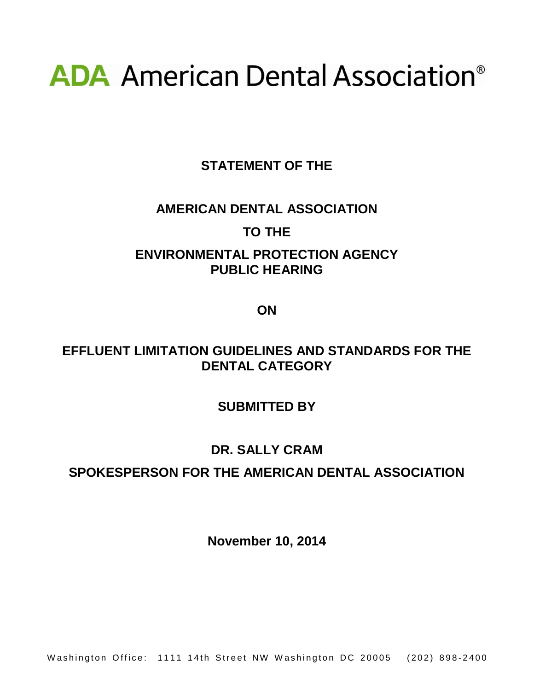# **ADA** American Dental Association<sup>®</sup>

**STATEMENT OF THE**

### **AMERICAN DENTAL ASSOCIATION**

#### **TO THE**

## **ENVIRONMENTAL PROTECTION AGENCY PUBLIC HEARING**

**ON**

### **EFFLUENT LIMITATION GUIDELINES AND STANDARDS FOR THE DENTAL CATEGORY**

### **SUBMITTED BY**

### **DR. SALLY CRAM**

### **SPOKESPERSON FOR THE AMERICAN DENTAL ASSOCIATION**

**November 10, 2014**

Washington Office: 1111 14th Street NW Washington DC 20005 (202) 898-2400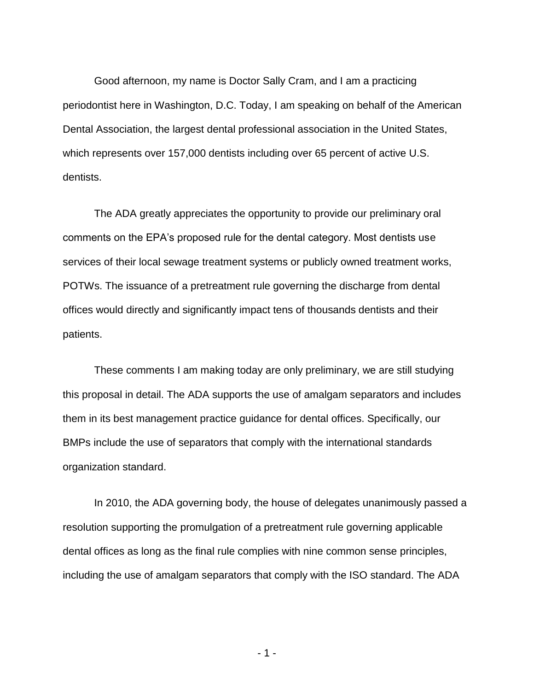Good afternoon, my name is Doctor Sally Cram, and I am a practicing periodontist here in Washington, D.C. Today, I am speaking on behalf of the American Dental Association, the largest dental professional association in the United States, which represents over 157,000 dentists including over 65 percent of active U.S. dentists.

The ADA greatly appreciates the opportunity to provide our preliminary oral comments on the EPA's proposed rule for the dental category. Most dentists use services of their local sewage treatment systems or publicly owned treatment works, POTWs. The issuance of a pretreatment rule governing the discharge from dental offices would directly and significantly impact tens of thousands dentists and their patients.

These comments I am making today are only preliminary, we are still studying this proposal in detail. The ADA supports the use of amalgam separators and includes them in its best management practice guidance for dental offices. Specifically, our BMPs include the use of separators that comply with the international standards organization standard.

In 2010, the ADA governing body, the house of delegates unanimously passed a resolution supporting the promulgation of a pretreatment rule governing applicable dental offices as long as the final rule complies with nine common sense principles, including the use of amalgam separators that comply with the ISO standard. The ADA

- 1 -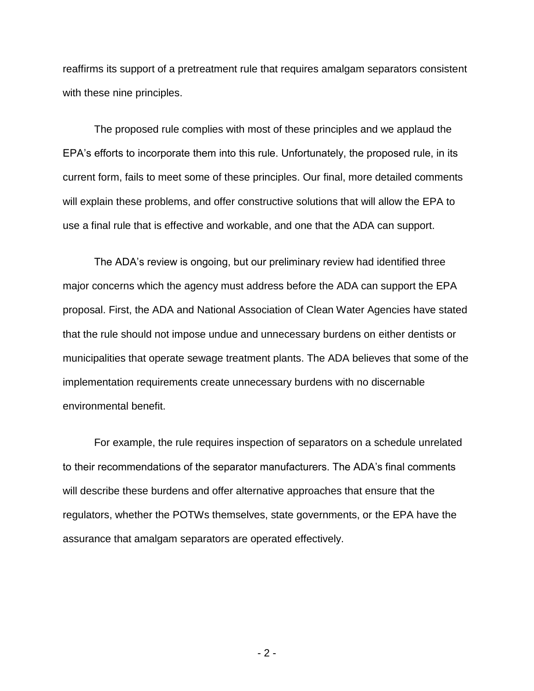reaffirms its support of a pretreatment rule that requires amalgam separators consistent with these nine principles.

The proposed rule complies with most of these principles and we applaud the EPA's efforts to incorporate them into this rule. Unfortunately, the proposed rule, in its current form, fails to meet some of these principles. Our final, more detailed comments will explain these problems, and offer constructive solutions that will allow the EPA to use a final rule that is effective and workable, and one that the ADA can support.

The ADA's review is ongoing, but our preliminary review had identified three major concerns which the agency must address before the ADA can support the EPA proposal. First, the ADA and National Association of Clean Water Agencies have stated that the rule should not impose undue and unnecessary burdens on either dentists or municipalities that operate sewage treatment plants. The ADA believes that some of the implementation requirements create unnecessary burdens with no discernable environmental benefit.

For example, the rule requires inspection of separators on a schedule unrelated to their recommendations of the separator manufacturers. The ADA's final comments will describe these burdens and offer alternative approaches that ensure that the regulators, whether the POTWs themselves, state governments, or the EPA have the assurance that amalgam separators are operated effectively.

- 2 -